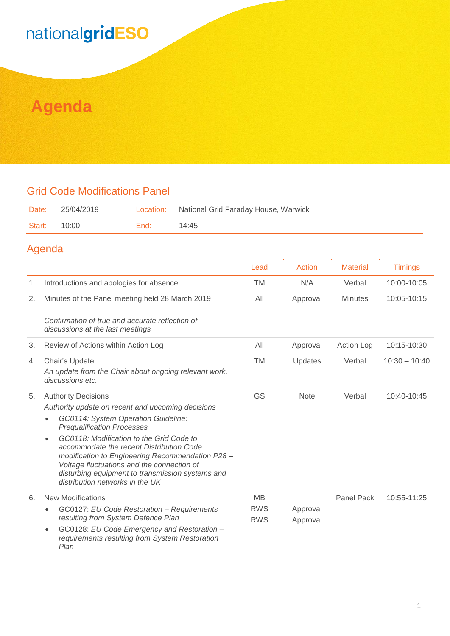## nationalgridESO

### **Agenda**

#### Grid Code Modifications Panel

| Date:        | 25/04/2019 |      | Location: National Grid Faraday House, Warwick |
|--------------|------------|------|------------------------------------------------|
| Start: 10:00 |            | End: | 14.45                                          |

#### Agenda

|    |                                                                                                                                                                                                                                                                                           | Lead       | <b>Action</b> | <b>Material</b> | <b>Timings</b>  |
|----|-------------------------------------------------------------------------------------------------------------------------------------------------------------------------------------------------------------------------------------------------------------------------------------------|------------|---------------|-----------------|-----------------|
| 1. | Introductions and apologies for absence                                                                                                                                                                                                                                                   | <b>TM</b>  | N/A           | Verbal          | 10:00-10:05     |
| 2. | Minutes of the Panel meeting held 28 March 2019                                                                                                                                                                                                                                           | All        | Approval      | <b>Minutes</b>  | 10:05-10:15     |
|    | Confirmation of true and accurate reflection of<br>discussions at the last meetings                                                                                                                                                                                                       |            |               |                 |                 |
| 3. | Review of Actions within Action Log                                                                                                                                                                                                                                                       | All        | Approval      | Action Log      | 10:15-10:30     |
| 4. | Chair's Update                                                                                                                                                                                                                                                                            | <b>TM</b>  | Updates       | Verbal          | $10:30 - 10:40$ |
|    | An update from the Chair about ongoing relevant work,<br>discussions etc.                                                                                                                                                                                                                 |            |               |                 |                 |
| 5. | <b>Authority Decisions</b>                                                                                                                                                                                                                                                                | GS         | <b>Note</b>   | Verbal          | 10:40-10:45     |
|    | Authority update on recent and upcoming decisions                                                                                                                                                                                                                                         |            |               |                 |                 |
|    | GC0114: System Operation Guideline:<br>$\bullet$<br><b>Prequalification Processes</b>                                                                                                                                                                                                     |            |               |                 |                 |
|    | GC0118: Modification to the Grid Code to<br>$\bullet$<br>accommodate the recent Distribution Code<br>modification to Engineering Recommendation P28-<br>Voltage fluctuations and the connection of<br>disturbing equipment to transmission systems and<br>distribution networks in the UK |            |               |                 |                 |
| 6. | <b>New Modifications</b>                                                                                                                                                                                                                                                                  | <b>MB</b>  |               | Panel Pack      | 10:55-11:25     |
|    | GC0127: EU Code Restoration - Requirements<br>$\bullet$                                                                                                                                                                                                                                   | <b>RWS</b> | Approval      |                 |                 |
|    | resulting from System Defence Plan                                                                                                                                                                                                                                                        | <b>RWS</b> | Approval      |                 |                 |
|    | GC0128: EU Code Emergency and Restoration -<br>$\bullet$<br>requirements resulting from System Restoration<br>Plan                                                                                                                                                                        |            |               |                 |                 |

÷,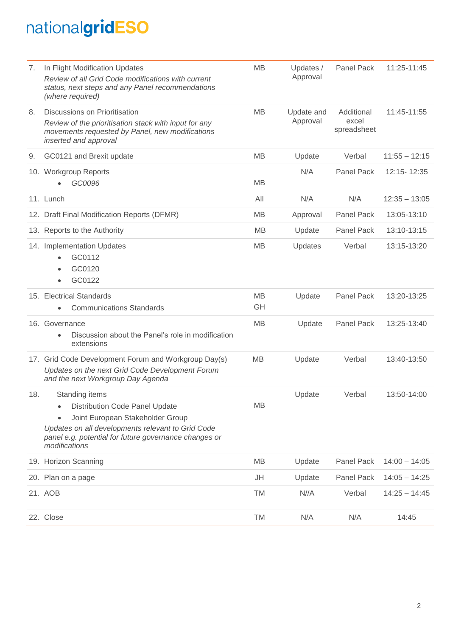# nationalgridESO

| 7.  | In Flight Modification Updates<br>Review of all Grid Code modifications with current<br>status, next steps and any Panel recommendations<br>(where required)                                                                                         | <b>MB</b>       | Updates /<br>Approval  | <b>Panel Pack</b>                  | 11:25-11:45     |
|-----|------------------------------------------------------------------------------------------------------------------------------------------------------------------------------------------------------------------------------------------------------|-----------------|------------------------|------------------------------------|-----------------|
| 8.  | Discussions on Prioritisation<br>Review of the prioritisation stack with input for any<br>movements requested by Panel, new modifications<br>inserted and approval                                                                                   | MB              | Update and<br>Approval | Additional<br>excel<br>spreadsheet | 11:45-11:55     |
| 9.  | GC0121 and Brexit update                                                                                                                                                                                                                             | MB              | Update                 | Verbal                             | $11:55 - 12:15$ |
|     | 10. Workgroup Reports<br>GC0096                                                                                                                                                                                                                      | MB              | N/A                    | <b>Panel Pack</b>                  | 12:15-12:35     |
|     | 11. Lunch                                                                                                                                                                                                                                            | All             | N/A                    | N/A                                | $12:35 - 13:05$ |
|     | 12. Draft Final Modification Reports (DFMR)                                                                                                                                                                                                          | MB              | Approval               | Panel Pack                         | 13:05-13:10     |
|     | 13. Reports to the Authority                                                                                                                                                                                                                         | <b>MB</b>       | Update                 | Panel Pack                         | 13:10-13:15     |
|     | 14. Implementation Updates<br>GC0112<br>$\bullet$<br>GC0120<br>GC0122<br>$\bullet$                                                                                                                                                                   | MB              | Updates                | Verbal                             | 13:15-13:20     |
|     | 15. Electrical Standards<br><b>Communications Standards</b>                                                                                                                                                                                          | <b>MB</b><br>GH | Update                 | <b>Panel Pack</b>                  | 13:20-13:25     |
|     | 16. Governance<br>Discussion about the Panel's role in modification<br>$\bullet$<br>extensions                                                                                                                                                       | <b>MB</b>       | Update                 | Panel Pack                         | 13:25-13:40     |
|     | 17. Grid Code Development Forum and Workgroup Day(s)<br>Updates on the next Grid Code Development Forum<br>and the next Workgroup Day Agenda                                                                                                         | <b>MB</b>       | Update                 | Verbal                             | 13:40-13:50     |
| 18. | Standing items<br><b>Distribution Code Panel Update</b><br>$\bullet$<br>Joint European Stakeholder Group<br>$\bullet$<br>Updates on all developments relevant to Grid Code<br>panel e.g. potential for future governance changes or<br>modifications | <b>MB</b>       | Update                 | Verbal                             | 13:50-14:00     |
|     | 19. Horizon Scanning                                                                                                                                                                                                                                 | <b>MB</b>       | Update                 | <b>Panel Pack</b>                  | $14:00 - 14:05$ |
|     | 20. Plan on a page                                                                                                                                                                                                                                   | JH              | Update                 | Panel Pack                         | $14:05 - 14:25$ |
|     | 21. AOB                                                                                                                                                                                                                                              | TM              | N//A                   | Verbal                             | $14:25 - 14:45$ |
|     | 22. Close                                                                                                                                                                                                                                            | TM              | N/A                    | N/A                                | 14:45           |